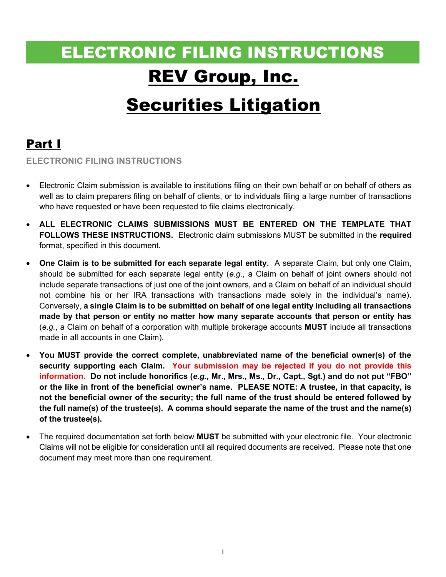# ELECTRONIC FILING INSTRUCTIONS REV Group, Inc.

## **Securities Litigation**

### Part I

ELECTRONIC FILING INSTRUCTIONS

- Electronic Claim submission is available to institutions filing on their own behalf or on behalf of others as well as to claim preparers filing on behalf of clients, or to individuals filing a large number of transactions who have requested or have been requested to file claims electronically.
- ALL ELECTRONIC CLAIMS SUBMISSIONS MUST BE ENTERED ON THE TEMPLATE THAT FOLLOWS THESE INSTRUCTIONS. Electronic claim submissions MUST be submitted in the required format, specified in this document.
- One Claim is to be submitted for each separate legal entity. A separate Claim, but only one Claim, should be submitted for each separate legal entity (e.g., a Claim on behalf of joint owners should not include separate transactions of just one of the joint owners, and a Claim on behalf of an individual should not combine his or her IRA transactions with transactions made solely in the individual's name). Conversely, a single Claim is to be submitted on behalf of one legal entity including all transactions made by that person or entity no matter how many separate accounts that person or entity has  $(e.g., a Claim on behalf of a corporation with multiple brokenage accounts **MUST** include all transactions$ made in all accounts in one Claim).
- You MUST provide the correct complete, unabbreviated name of the beneficial owner(s) of the security supporting each Claim. Your submission may be rejected if you do not provide this information. Do not include honorifics (e.g., Mr., Mrs., Ms., Dr., Capt., Sgt.) and do not put "FBO" or the like in front of the beneficial owner's name. PLEASE NOTE: A trustee, in that capacity, is not the beneficial owner of the security; the full name of the trust should be entered followed by the full name(s) of the trustee(s). A comma should separate the name of the trust and the name(s) of the trustee(s).
- The required documentation set forth below MUST be submitted with your electronic file. Your electronic Claims will not be eligible for consideration until all required documents are received. Please note that one document may meet more than one requirement.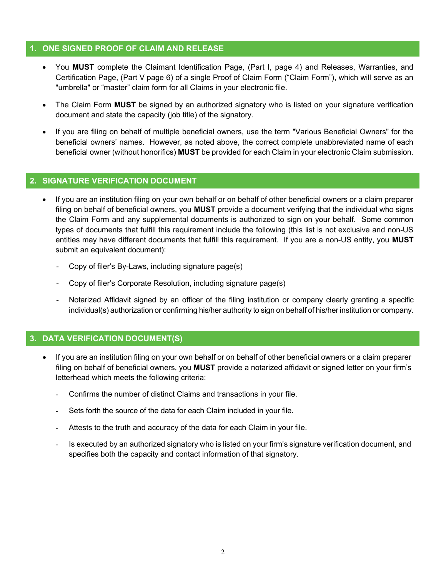#### 1. ONE SIGNED PROOF OF CLAIM AND RELEASE

- You MUST complete the Claimant Identification Page, (Part I, page 4) and Releases, Warranties, and Certification Page, (Part V page 6) of a single Proof of Claim Form ("Claim Form"), which will serve as an "umbrella" or "master" claim form for all Claims in your electronic file.
- The Claim Form MUST be signed by an authorized signatory who is listed on your signature verification document and state the capacity (job title) of the signatory.
- If you are filing on behalf of multiple beneficial owners, use the term "Various Beneficial Owners" for the beneficial owners' names. However, as noted above, the correct complete unabbreviated name of each beneficial owner (without honorifics) MUST be provided for each Claim in your electronic Claim submission.

#### 2. SIGNATURE VERIFICATION DOCUMENT

- If you are an institution filing on your own behalf or on behalf of other beneficial owners or a claim preparer filing on behalf of beneficial owners, you **MUST** provide a document verifying that the individual who signs the Claim Form and any supplemental documents is authorized to sign on your behalf. Some common types of documents that fulfill this requirement include the following (this list is not exclusive and non-US entities may have different documents that fulfill this requirement. If you are a non-US entity, you MUST submit an equivalent document):
	- Copy of filer's By-Laws, including signature page(s)
	- Copy of filer's Corporate Resolution, including signature page(s)
	- Notarized Affidavit signed by an officer of the filing institution or company clearly granting a specific individual(s) authorization or confirming his/her authority to sign on behalf of his/her institution or company.

#### 3. DATA VERIFICATION DOCUMENT(S)

- If you are an institution filing on your own behalf or on behalf of other beneficial owners or a claim preparer filing on behalf of beneficial owners, you MUST provide a notarized affidavit or signed letter on your firm's letterhead which meets the following criteria:
	- Confirms the number of distinct Claims and transactions in your file.
	- Sets forth the source of the data for each Claim included in your file.
	- Attests to the truth and accuracy of the data for each Claim in your file.
	- Is executed by an authorized signatory who is listed on your firm's signature verification document, and specifies both the capacity and contact information of that signatory.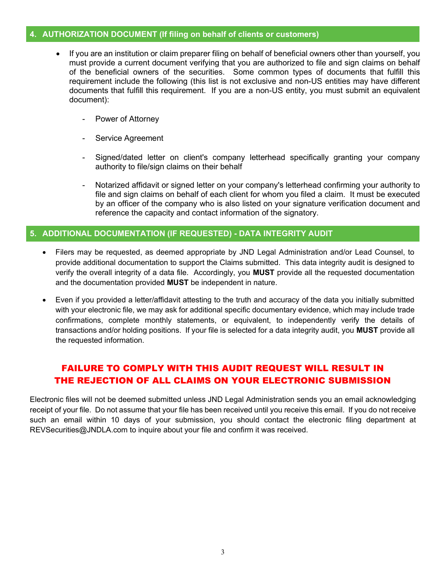#### 4. AUTHORIZATION DOCUMENT (If filing on behalf of clients or customers)

- If you are an institution or claim preparer filing on behalf of beneficial owners other than yourself, you must provide a current document verifying that you are authorized to file and sign claims on behalf of the beneficial owners of the securities. Some common types of documents that fulfill this requirement include the following (this list is not exclusive and non-US entities may have different documents that fulfill this requirement. If you are a non-US entity, you must submit an equivalent document):
	- Power of Attorney
	- Service Agreement
	- Signed/dated letter on client's company letterhead specifically granting your company authority to file/sign claims on their behalf
	- Notarized affidavit or signed letter on your company's letterhead confirming your authority to file and sign claims on behalf of each client for whom you filed a claim. It must be executed by an officer of the company who is also listed on your signature verification document and reference the capacity and contact information of the signatory.

#### 5. ADDITIONAL DOCUMENTATION (IF REQUESTED) - DATA INTEGRITY AUDIT

- Filers may be requested, as deemed appropriate by JND Legal Administration and/or Lead Counsel, to provide additional documentation to support the Claims submitted. This data integrity audit is designed to verify the overall integrity of a data file. Accordingly, you MUST provide all the requested documentation and the documentation provided MUST be independent in nature.
- Even if you provided a letter/affidavit attesting to the truth and accuracy of the data you initially submitted with your electronic file, we may ask for additional specific documentary evidence, which may include trade confirmations, complete monthly statements, or equivalent, to independently verify the details of transactions and/or holding positions. If your file is selected for a data integrity audit, you MUST provide all the requested information.

#### FAILURE TO COMPLY WITH THIS AUDIT REQUEST WILL RESULT IN THE REJECTION OF ALL CLAIMS ON YOUR ELECTRONIC SUBMISSION

Electronic files will not be deemed submitted unless JND Legal Administration sends you an email acknowledging receipt of your file. Do not assume that your file has been received until you receive this email. If you do not receive such an email within 10 days of your submission, you should contact the electronic filing department at REVSecurities@JNDLA.com to inquire about your file and confirm it was received.